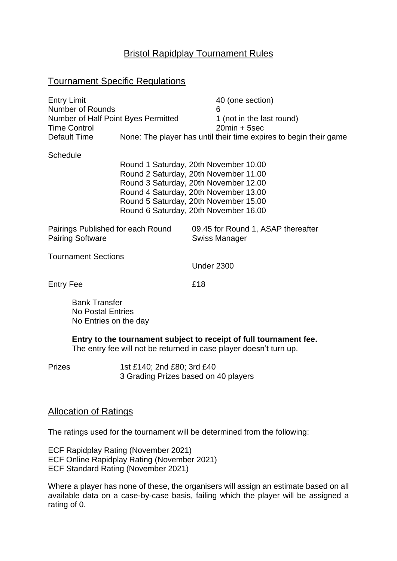# Bristol Rapidplay Tournament Rules

#### Tournament Specific Regulations

| <b>Entry Limit</b><br><b>Number of Rounds</b><br>Number of Half Point Byes Permitted<br><b>Time Control</b> |                                                                                                                                                                                                                                                    | 40 (one section)<br>6<br>1 (not in the last round)<br>$20min + 5sec$ |                                                     |  |
|-------------------------------------------------------------------------------------------------------------|----------------------------------------------------------------------------------------------------------------------------------------------------------------------------------------------------------------------------------------------------|----------------------------------------------------------------------|-----------------------------------------------------|--|
| Default Time                                                                                                |                                                                                                                                                                                                                                                    | None: The player has until their time expires to begin their game    |                                                     |  |
| Schedule                                                                                                    | Round 1 Saturday, 20th November 10.00<br>Round 2 Saturday, 20th November 11.00<br>Round 3 Saturday, 20th November 12.00<br>Round 4 Saturday, 20th November 13.00<br>Round 5 Saturday, 20th November 15.00<br>Round 6 Saturday, 20th November 16.00 |                                                                      |                                                     |  |
| Pairings Published for each Round<br><b>Pairing Software</b>                                                |                                                                                                                                                                                                                                                    |                                                                      | 09.45 for Round 1, ASAP thereafter<br>Swiss Manager |  |
| <b>Tournament Sections</b>                                                                                  |                                                                                                                                                                                                                                                    | <b>Under 2300</b>                                                    |                                                     |  |
| Entry Fee                                                                                                   |                                                                                                                                                                                                                                                    | £18                                                                  |                                                     |  |

Bank Transfer No Postal Entries No Entries on the day

**Entry to the tournament subject to receipt of full tournament fee.** The entry fee will not be returned in case player doesn't turn up.

Prizes 1st £140; 2nd £80; 3rd £40 3 Grading Prizes based on 40 players

#### Allocation of Ratings

The ratings used for the tournament will be determined from the following:

ECF Rapidplay Rating (November 2021) ECF Online Rapidplay Rating (November 2021) ECF Standard Rating (November 2021)

Where a player has none of these, the organisers will assign an estimate based on all available data on a case-by-case basis, failing which the player will be assigned a rating of 0.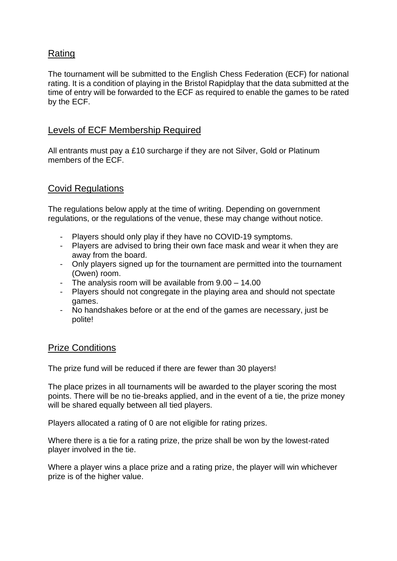# Rating

The tournament will be submitted to the English Chess Federation (ECF) for national rating. It is a condition of playing in the Bristol Rapidplay that the data submitted at the time of entry will be forwarded to the ECF as required to enable the games to be rated by the ECF.

### Levels of ECF Membership Required

All entrants must pay a £10 surcharge if they are not Silver, Gold or Platinum members of the ECF.

### Covid Regulations

The regulations below apply at the time of writing. Depending on government regulations, or the regulations of the venue, these may change without notice.

- Players should only play if they have no COVID-19 symptoms.
- Players are advised to bring their own face mask and wear it when they are away from the board.
- Only players signed up for the tournament are permitted into the tournament (Owen) room.
- The analysis room will be available from 9.00 14.00
- Players should not congregate in the playing area and should not spectate games.
- No handshakes before or at the end of the games are necessary, just be polite!

# Prize Conditions

The prize fund will be reduced if there are fewer than 30 players!

The place prizes in all tournaments will be awarded to the player scoring the most points. There will be no tie-breaks applied, and in the event of a tie, the prize money will be shared equally between all tied players.

Players allocated a rating of 0 are not eligible for rating prizes.

Where there is a tie for a rating prize, the prize shall be won by the lowest-rated player involved in the tie.

Where a player wins a place prize and a rating prize, the player will win whichever prize is of the higher value.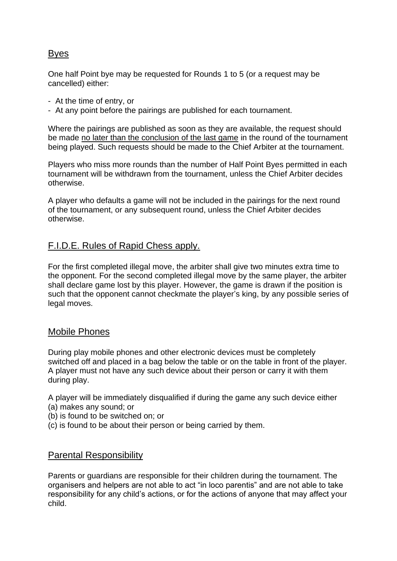# Byes

One half Point bye may be requested for Rounds 1 to 5 (or a request may be cancelled) either:

- At the time of entry, or
- At any point before the pairings are published for each tournament.

Where the pairings are published as soon as they are available, the request should be made no later than the conclusion of the last game in the round of the tournament being played. Such requests should be made to the Chief Arbiter at the tournament.

Players who miss more rounds than the number of Half Point Byes permitted in each tournament will be withdrawn from the tournament, unless the Chief Arbiter decides otherwise.

A player who defaults a game will not be included in the pairings for the next round of the tournament, or any subsequent round, unless the Chief Arbiter decides otherwise.

# F.I.D.E. Rules of Rapid Chess apply.

For the first completed illegal move, the arbiter shall give two minutes extra time to the opponent. For the second completed illegal move by the same player, the arbiter shall declare game lost by this player. However, the game is drawn if the position is such that the opponent cannot checkmate the player's king, by any possible series of legal moves.

### Mobile Phones

During play mobile phones and other electronic devices must be completely switched off and placed in a bag below the table or on the table in front of the player. A player must not have any such device about their person or carry it with them during play.

A player will be immediately disqualified if during the game any such device either (a) makes any sound; or

- (b) is found to be switched on; or
- (c) is found to be about their person or being carried by them.

### Parental Responsibility

Parents or guardians are responsible for their children during the tournament. The organisers and helpers are not able to act "in loco parentis" and are not able to take responsibility for any child's actions, or for the actions of anyone that may affect your child.